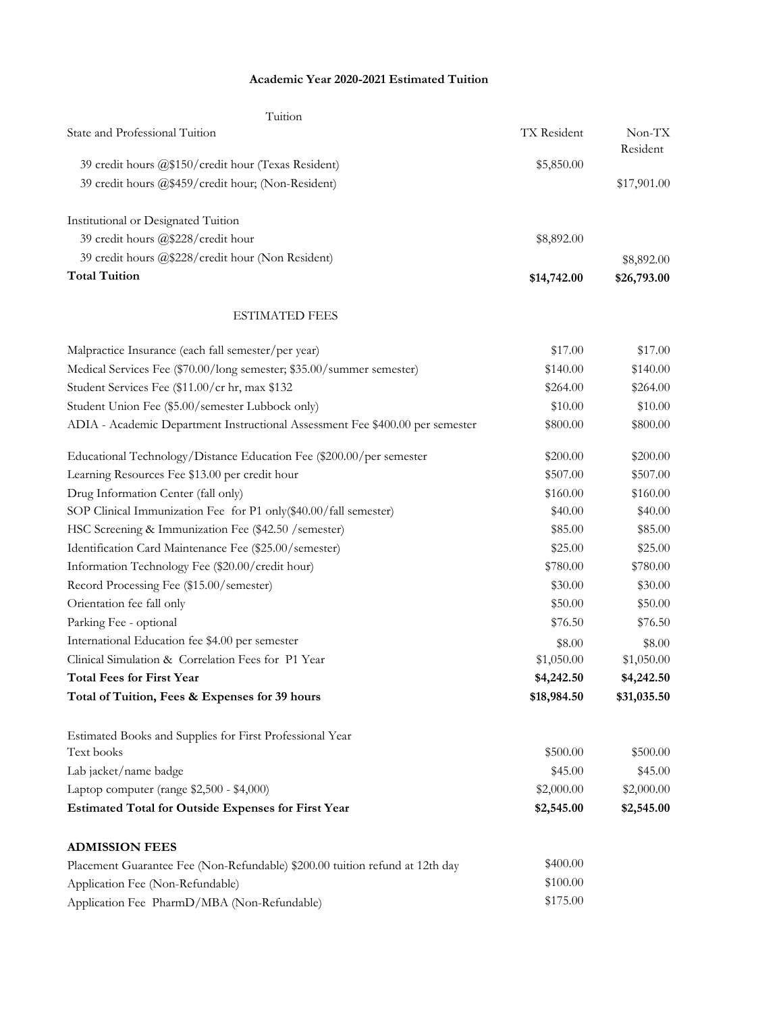## **Academic Year 2020-2021 Estimated Tuition**

| Tuition                                                                       |             |                    |
|-------------------------------------------------------------------------------|-------------|--------------------|
| State and Professional Tuition                                                | TX Resident | Non-TX<br>Resident |
| 39 credit hours @\$150/credit hour (Texas Resident)                           | \$5,850.00  |                    |
| 39 credit hours @\$459/credit hour; (Non-Resident)                            |             | \$17,901.00        |
| Institutional or Designated Tuition                                           |             |                    |
| 39 credit hours @\$228/credit hour                                            | \$8,892.00  |                    |
| 39 credit hours @\$228/credit hour (Non Resident)                             |             | \$8,892.00         |
| <b>Total Tuition</b>                                                          | \$14,742.00 | \$26,793.00        |
| <b>ESTIMATED FEES</b>                                                         |             |                    |
| Malpractice Insurance (each fall semester/per year)                           | \$17.00     | \$17.00            |
| Medical Services Fee (\$70.00/long semester; \$35.00/summer semester)         | \$140.00    | \$140.00           |
| Student Services Fee (\$11.00/cr hr, max \$132                                | \$264.00    | \$264.00           |
| Student Union Fee (\$5.00/semester Lubbock only)                              | \$10.00     | \$10.00            |
| ADIA - Academic Department Instructional Assessment Fee \$400.00 per semester | \$800.00    | \$800.00           |
| Educational Technology/Distance Education Fee (\$200.00/per semester          | \$200.00    | \$200.00           |
| Learning Resources Fee \$13.00 per credit hour                                | \$507.00    | \$507.00           |
| Drug Information Center (fall only)                                           | \$160.00    | \$160.00           |
| SOP Clinical Immunization Fee for P1 only(\$40.00/fall semester)              | \$40.00     | \$40.00            |
| HSC Screening & Immunization Fee (\$42.50 / semester)                         | \$85.00     | \$85.00            |
| Identification Card Maintenance Fee (\$25.00/semester)                        | \$25.00     | \$25.00            |
| Information Technology Fee (\$20.00/credit hour)                              | \$780.00    | \$780.00           |
| Record Processing Fee (\$15.00/semester)                                      | \$30.00     | \$30.00            |
| Orientation fee fall only                                                     | \$50.00     | \$50.00            |
| Parking Fee - optional                                                        | \$76.50     | \$76.50            |
| International Education fee \$4.00 per semester                               | \$8.00      | \$8.00             |
| Clinical Simulation & Correlation Fees for P1 Year                            | \$1,050.00  | \$1,050.00         |
| <b>Total Fees for First Year</b>                                              | \$4,242.50  | \$4,242.50         |
| Total of Tuition, Fees & Expenses for 39 hours                                | \$18,984.50 | \$31,035.50        |
| Estimated Books and Supplies for First Professional Year                      |             |                    |
| Text books                                                                    | \$500.00    | \$500.00           |
| Lab jacket/name badge                                                         | \$45.00     | \$45.00            |
| Laptop computer (range \$2,500 - \$4,000)                                     | \$2,000.00  | \$2,000.00         |
| <b>Estimated Total for Outside Expenses for First Year</b>                    | \$2,545.00  | \$2,545.00         |
| <b>ADMISSION FEES</b>                                                         |             |                    |
| Placement Guarantee Fee (Non-Refundable) \$200.00 tuition refund at 12th day  | \$400.00    |                    |
| Application Fee (Non-Refundable)                                              | \$100.00    |                    |
| Application Fee PharmD/MBA (Non-Refundable)                                   | \$175.00    |                    |
|                                                                               |             |                    |